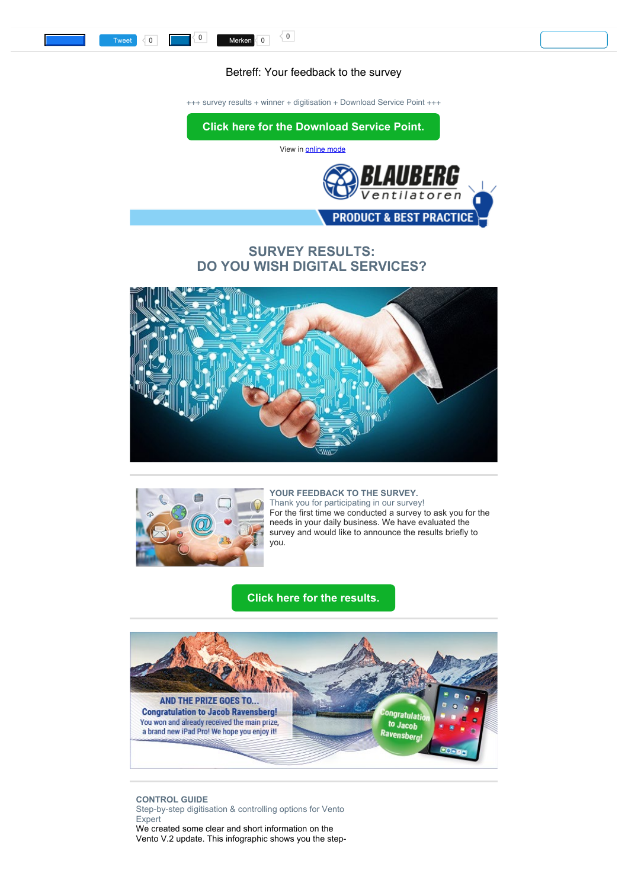## Betreff: Your feedback to the survey

+++ survey results + winner + digitisation + Download Service Point +++

<span id="page-0-0"></span>

# **SURVEY RESULTS: DO YOU WISH DIGITAL SERVICES?**





### **YOUR FEEDBACK TO THE SURVEY.** Thank you for participating in our survey! For the first time we conducted a survey to ask you for the needs in your daily business. We have evaluated the survey and would like to announce the results briefly to you.

# **[Click here for the results.](https://multimedia.getresponse.com/getresponse-hxR52/documents/59c53d06-a6ac-4e7a-97a8-7aee346af622.pdf?utm_source=getresponse&utm_medium=email&utm_campaign=intern_marketing&utm_content=Your%20feedback%20to%20the%20survey)**



**CONTROL GUIDE** Step-by-step digitisation & controlling options for Vento Expert We created some clear and short information on the Vento V.2 update. This infographic shows you the step